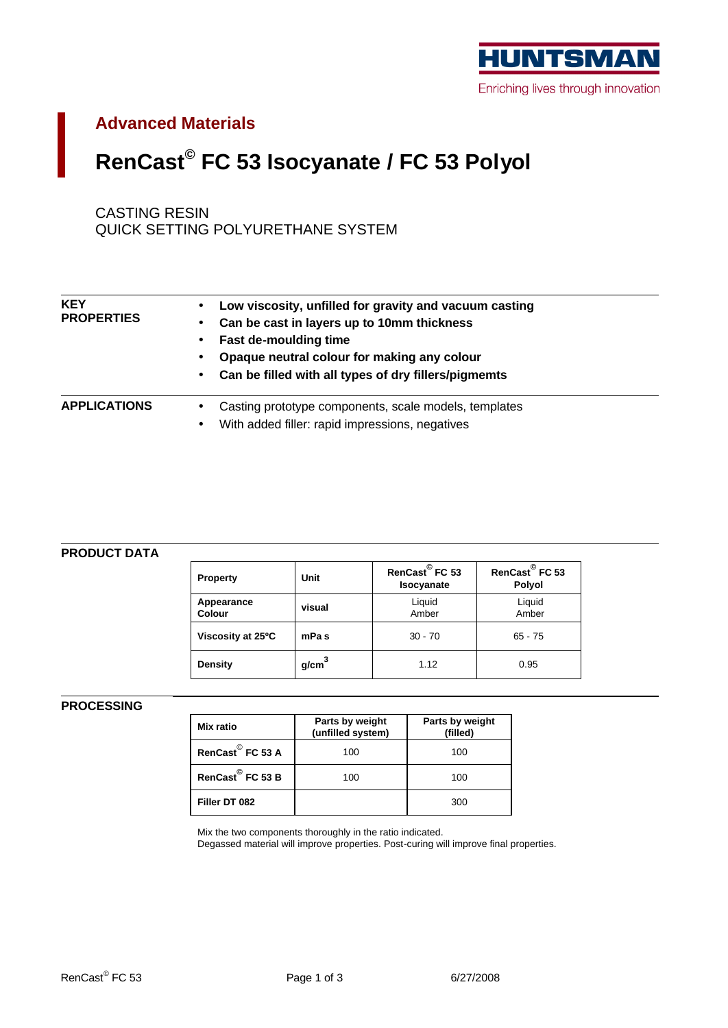

## **Advanced Materials**

# **RenCast© FC 53 Isocyanate / FC 53 Polyol**

CASTING RESIN QUICK SETTING POLYURETHANE SYSTEM

| <b>KEY</b><br><b>PROPERTIES</b> | Low viscosity, unfilled for gravity and vacuum casting<br>Can be cast in layers up to 10mm thickness<br>$\bullet$<br><b>Fast de-moulding time</b><br>Opaque neutral colour for making any colour<br>٠<br>Can be filled with all types of dry fillers/pigmemts<br>$\bullet$ |
|---------------------------------|----------------------------------------------------------------------------------------------------------------------------------------------------------------------------------------------------------------------------------------------------------------------------|
| <b>APPLICATIONS</b>             | Casting prototype components, scale models, templates<br>$\bullet$<br>With added filler: rapid impressions, negatives<br>$\bullet$                                                                                                                                         |

### **PRODUCT DATA**

| <b>Property</b>             | Unit              | RenCast <sup>©</sup> FC 53<br>Isocyanate | RenCast <sup>©</sup> FC 53<br>Polyol |
|-----------------------------|-------------------|------------------------------------------|--------------------------------------|
| Appearance<br><b>Colour</b> | visual            | Liquid<br>Amber                          | Liquid<br>Amber                      |
| Viscosity at 25°C           | mPa <sub>s</sub>  | $30 - 70$                                | $65 - 75$                            |
| Density                     | g/cm <sup>3</sup> | 1.12                                     | 0.95                                 |

### **PROCESSING**

| Mix ratio                    | Parts by weight<br>(unfilled system) | Parts by weight<br>(filled) |
|------------------------------|--------------------------------------|-----------------------------|
| RenCast <sup>©</sup> FC 53 A | 100                                  | 100                         |
| RenCast <sup>©</sup> FC 53 B | 100                                  | 100                         |
| Filler DT 082                |                                      | 300                         |

Mix the two components thoroughly in the ratio indicated.

Degassed material will improve properties. Post-curing will improve final properties.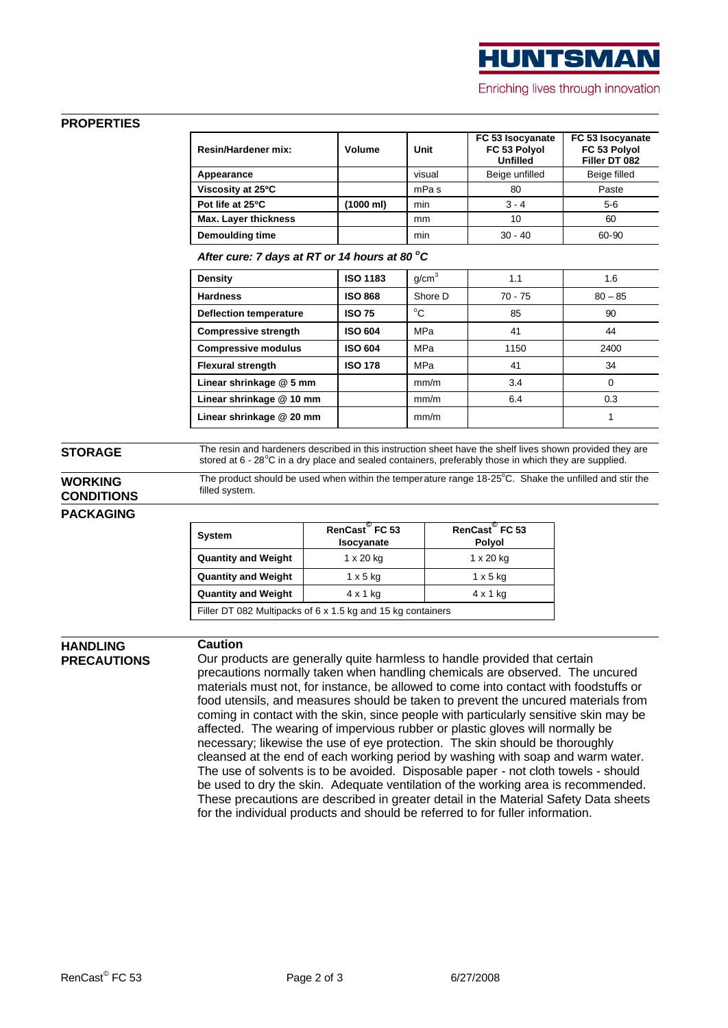

### **PROPERTIES**

| <b>Resin/Hardener mix:</b>  | Volume    | Unit             | FC 53 Isocyanate<br>FC 53 Polyol<br><b>Unfilled</b> | FC 53 Isocyanate<br>FC 53 Polyol<br>Filler DT 082 |
|-----------------------------|-----------|------------------|-----------------------------------------------------|---------------------------------------------------|
| Appearance                  |           | visual           | Beige unfilled                                      | Beige filled                                      |
| Viscosity at 25°C           |           | mPa <sub>s</sub> | 80                                                  | Paste                                             |
| Pot life at 25°C            | (1000 ml) | min              | $3 - 4$                                             | $5-6$                                             |
| <b>Max. Layer thickness</b> |           | mm               | 10                                                  | 60                                                |
| Demoulding time             |           | min              | $30 - 40$                                           | 60-90                                             |

*After cure: 7 days at RT or 14 hours at 80 <sup>o</sup>C*

| Density                       | <b>ISO 1183</b> | g/cm <sup>3</sup> | 1.1       | 1.6       |
|-------------------------------|-----------------|-------------------|-----------|-----------|
| <b>Hardness</b>               | <b>ISO 868</b>  | Shore D           | $70 - 75$ | $80 - 85$ |
| <b>Deflection temperature</b> | <b>ISO 75</b>   | °C                | 85        | 90        |
| <b>Compressive strength</b>   | <b>ISO 604</b>  | MPa               | 41        | 44        |
| <b>Compressive modulus</b>    | <b>ISO 604</b>  | MPa               | 1150      | 2400      |
| <b>Flexural strength</b>      | <b>ISO 178</b>  | MPa               | 41        | 34        |
| Linear shrinkage @ 5 mm       |                 | mm/m              | 3.4       | 0         |
| Linear shrinkage @ 10 mm      |                 | mm/m              | 6.4       | 0.3       |
| Linear shrinkage @ 20 mm      |                 | mm/m              |           |           |

**STORAGE** The resin and hardeners described in this instruction sheet have the shelf lives shown provided they are stored at 6 - 28°C in a dry place and sealed containers, preferably those in which they are supplied.

### **WORKING CONDITIONS**

The product should be used when within the temperature range 18-25°C. Shake the unfilled and stir the filled system.

### **PACKAGING**

| <b>System</b>                                                    | RenCast FC 53<br>Isocyanate | RenCast FC 53<br><b>Polyol</b> |  |  |
|------------------------------------------------------------------|-----------------------------|--------------------------------|--|--|
| <b>Quantity and Weight</b>                                       | $1 \times 20$ kg            | $1 \times 20$ kg               |  |  |
| <b>Quantity and Weight</b>                                       | $1 \times 5$ kg             | $1 \times 5$ kg                |  |  |
| <b>Quantity and Weight</b><br>$4 \times 1$ kg<br>$4 \times 1$ kg |                             |                                |  |  |
| Filler DT 082 Multipacks of 6 x 1.5 kg and 15 kg containers      |                             |                                |  |  |

**HANDLING PRECAUTIONS**

### **Caution**

Our products are generally quite harmless to handle provided that certain precautions normally taken when handling chemicals are observed. The uncured materials must not, for instance, be allowed to come into contact with foodstuffs or food utensils, and measures should be taken to prevent the uncured materials from coming in contact with the skin, since people with particularly sensitive skin may be affected. The wearing of impervious rubber or plastic gloves will normally be necessary; likewise the use of eye protection. The skin should be thoroughly cleansed at the end of each working period by washing with soap and warm water. The use of solvents is to be avoided. Disposable paper - not cloth towels - should be used to dry the skin. Adequate ventilation of the working area is recommended. These precautions are described in greater detail in the Material Safety Data sheets for the individual products and should be referred to for fuller information.